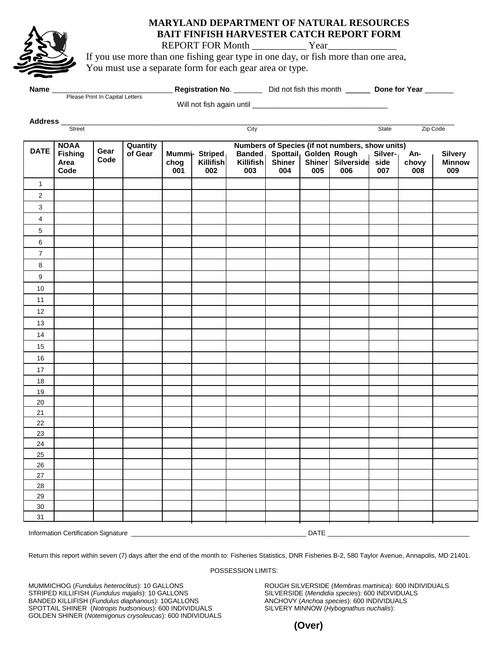

# **MARYLAND DEPARTMENT OF NATURAL RESOURCES BAIT FINFISH HARVESTER CATCH REPORT FORM**

REPORT FOR Month \_\_\_\_\_\_\_\_\_\_\_ Year\_\_\_\_\_\_\_\_\_\_\_\_\_\_

If you use more than one fishing gear type in one day, or fish more than one area, You must use a separate form for each gear area or type.

| <b>Name</b><br>Please Print In Capital Letters |                |      |          | <b>Registration No.</b>   |                                                 |               | Did not fish this month |        |            | Done for Year |       |                |  |  |
|------------------------------------------------|----------------|------|----------|---------------------------|-------------------------------------------------|---------------|-------------------------|--------|------------|---------------|-------|----------------|--|--|
|                                                |                |      |          | Will not fish again until |                                                 |               |                         |        |            |               |       |                |  |  |
| <b>Address</b>                                 |                |      |          |                           |                                                 |               |                         |        |            |               |       |                |  |  |
|                                                | <b>Street</b>  |      |          |                           |                                                 | City          |                         |        |            | State         |       | Zip Code       |  |  |
|                                                | <b>NOAA</b>    |      | Quantity |                           | Numbers of Species (if not numbers, show units) |               |                         |        |            |               |       |                |  |  |
| <b>DATE</b>                                    | <b>Fishing</b> | Gear | of Gear  |                           | <b>Mummi- Striped</b>                           | <b>Banded</b> | Spottail Golden Rough   |        |            | Silver-       | An-   | <b>Silvery</b> |  |  |
|                                                | Area           | Code |          | choa                      | Killifish                                       | Killifish     | <b>Shiner</b>           | Shiner | Silverside | side          | chovv | <b>Minnow</b>  |  |  |
|                                                | Code           |      |          | 001                       | 002                                             | 003           | 004                     | 005    | 006        | 007           | 008   | 009            |  |  |

|                                             | Code |  |  | UU1 | <b>UUZ</b> | UU3 | <b>UU4</b> | <b>UUS</b> | <b>UUD</b> | 007 | uuo | <b>OOA</b> |
|---------------------------------------------|------|--|--|-----|------------|-----|------------|------------|------------|-----|-----|------------|
| $\mathbf{1}$                                |      |  |  |     |            |     |            |            |            |     |     |            |
| $\sqrt{2}$                                  |      |  |  |     |            |     |            |            |            |     |     |            |
| $\mathbf{3}$                                |      |  |  |     |            |     |            |            |            |     |     |            |
| $\overline{4}$                              |      |  |  |     |            |     |            |            |            |     |     |            |
| $\sqrt{5}$                                  |      |  |  |     |            |     |            |            |            |     |     |            |
| $\,6\,$                                     |      |  |  |     |            |     |            |            |            |     |     |            |
| $\overline{7}$                              |      |  |  |     |            |     |            |            |            |     |     |            |
| $\bf 8$                                     |      |  |  |     |            |     |            |            |            |     |     |            |
| $\boldsymbol{9}$                            |      |  |  |     |            |     |            |            |            |     |     |            |
| $10\,$                                      |      |  |  |     |            |     |            |            |            |     |     |            |
| $11$                                        |      |  |  |     |            |     |            |            |            |     |     |            |
| $12\,$                                      |      |  |  |     |            |     |            |            |            |     |     |            |
| $13$                                        |      |  |  |     |            |     |            |            |            |     |     |            |
| 14                                          |      |  |  |     |            |     |            |            |            |     |     |            |
| 15                                          |      |  |  |     |            |     |            |            |            |     |     |            |
| $16\,$                                      |      |  |  |     |            |     |            |            |            |     |     |            |
| $17\,$                                      |      |  |  |     |            |     |            |            |            |     |     |            |
| 18                                          |      |  |  |     |            |     |            |            |            |     |     |            |
| 19                                          |      |  |  |     |            |     |            |            |            |     |     |            |
| 20                                          |      |  |  |     |            |     |            |            |            |     |     |            |
| 21                                          |      |  |  |     |            |     |            |            |            |     |     |            |
| 22                                          |      |  |  |     |            |     |            |            |            |     |     |            |
| 23                                          |      |  |  |     |            |     |            |            |            |     |     |            |
| 24                                          |      |  |  |     |            |     |            |            |            |     |     |            |
| 25                                          |      |  |  |     |            |     |            |            |            |     |     |            |
| 26                                          |      |  |  |     |            |     |            |            |            |     |     |            |
| 27<br>28                                    |      |  |  |     |            |     |            |            |            |     |     |            |
| 29                                          |      |  |  |     |            |     |            |            |            |     |     |            |
| 30 <sub>o</sub>                             |      |  |  |     |            |     |            |            |            |     |     |            |
| 31                                          |      |  |  |     |            |     |            |            |            |     |     |            |
|                                             |      |  |  |     |            |     |            |            |            |     |     |            |
| Information Certification Signature<br>DATE |      |  |  |     |            |     |            |            |            |     |     |            |

Return this report within seven (7) days after the end of the month to: Fisheries Statistics, DNR Fisheries B-2, 580 Taylor Avenue, Annapolis, MD 21401.

#### POSSESSION LIMITS:

MUMMICHOG (*Fundulus heteroclitus*): 10 GALLONS ROUGH SILVERSIDE (*Membras martinica*): 600 INDIVIDUALS STRIPED KILLIFISH (*Fundulus majalis*): 10 GALLONS SILVERSIDE (*Mendidia species*): 600 INDIVIDUALS BANDED KILLIFISH (*Fundulus diaphanous*): 10GALLONS ANCHOVY (*Anchoa species*): 600 INDIVIDUALS<br>SPOTTAIL SHINER (*Notropis hudsonious*): 600 INDIVIDUALS SILVERY MINNOW (*Hybognathus nuchalis*): SPOTTAIL SHINER (*Notropis hudsonious*): 600 INDIVIDUALS GOLDEN SHINER (*Notemigonus crysoleucas*): 600 INDIVIDUALS

**(Over)**